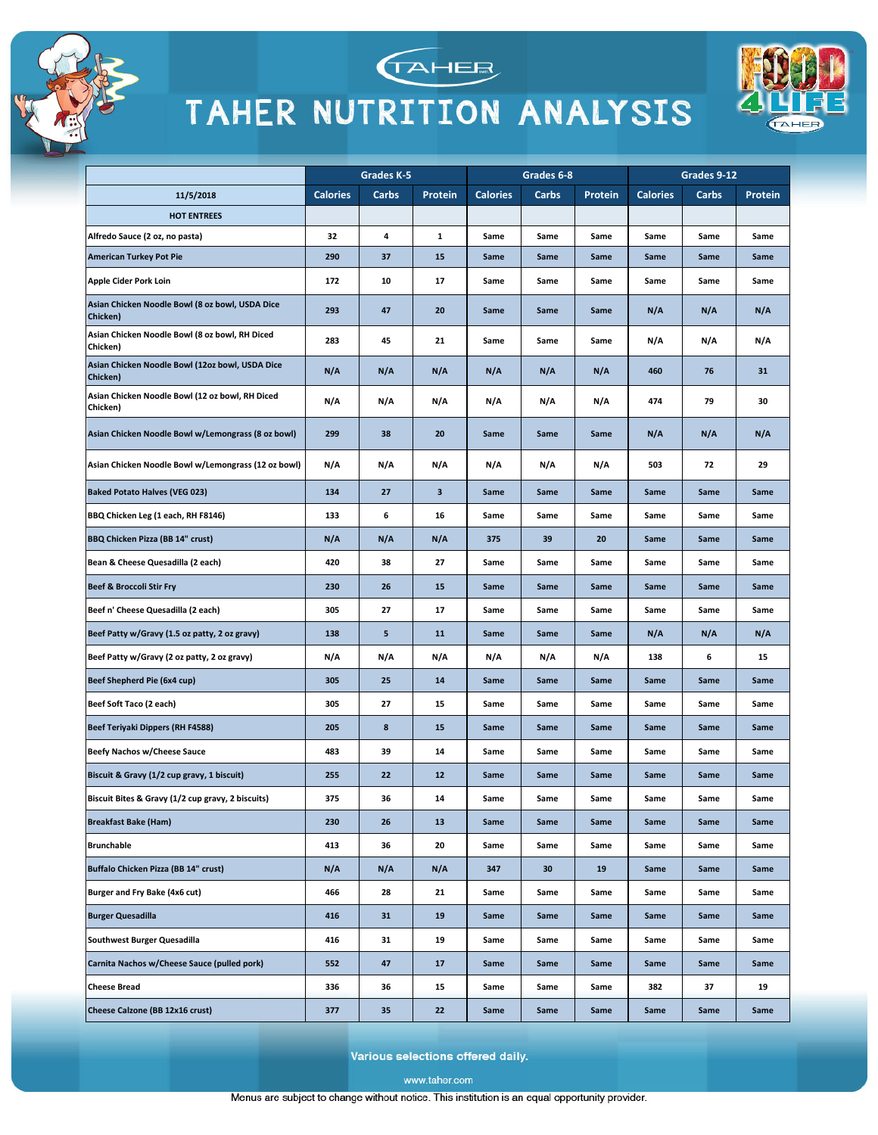





|                                                             | Grades K-5      |       | Grades 6-8              |                 |       | Grades 9-12 |                 |       |         |
|-------------------------------------------------------------|-----------------|-------|-------------------------|-----------------|-------|-------------|-----------------|-------|---------|
| 11/5/2018                                                   | <b>Calories</b> | Carbs | Protein                 | <b>Calories</b> | Carbs | Protein     | <b>Calories</b> | Carbs | Protein |
| <b>HOT ENTREES</b>                                          |                 |       |                         |                 |       |             |                 |       |         |
| Alfredo Sauce (2 oz, no pasta)                              | 32              | 4     | $\mathbf 1$             | Same            | Same  | Same        | Same            | Same  | Same    |
| <b>American Turkey Pot Pie</b>                              | 290             | 37    | 15                      | Same            | Same  | Same        | Same            | Same  | Same    |
| Apple Cider Pork Loin                                       | 172             | 10    | 17                      | Same            | Same  | Same        | Same            | Same  | Same    |
| Asian Chicken Noodle Bowl (8 oz bowl, USDA Dice<br>Chicken) | 293             | 47    | 20                      | Same            | Same  | Same        | N/A             | N/A   | N/A     |
| Asian Chicken Noodle Bowl (8 oz bowl, RH Diced<br>Chicken)  | 283             | 45    | 21                      | Same            | Same  | Same        | N/A             | N/A   | N/A     |
| Asian Chicken Noodle Bowl (12oz bowl, USDA Dice<br>Chicken) | N/A             | N/A   | N/A                     | N/A             | N/A   | N/A         | 460             | 76    | 31      |
| Asian Chicken Noodle Bowl (12 oz bowl, RH Diced<br>Chicken) | N/A             | N/A   | N/A                     | N/A             | N/A   | N/A         | 474             | 79    | 30      |
| Asian Chicken Noodle Bowl w/Lemongrass (8 oz bowl)          | 299             | 38    | 20                      | Same            | Same  | Same        | N/A             | N/A   | N/A     |
| Asian Chicken Noodle Bowl w/Lemongrass (12 oz bowl)         | N/A             | N/A   | N/A                     | N/A             | N/A   | N/A         | 503             | 72    | 29      |
| <b>Baked Potato Halves (VEG 023)</b>                        | 134             | 27    | $\overline{\mathbf{3}}$ | Same            | Same  | Same        | Same            | Same  | Same    |
| BBQ Chicken Leg (1 each, RH F8146)                          | 133             | 6     | 16                      | Same            | Same  | Same        | Same            | Same  | Same    |
| BBQ Chicken Pizza (BB 14" crust)                            | N/A             | N/A   | N/A                     | 375             | 39    | 20          | Same            | Same  | Same    |
| Bean & Cheese Quesadilla (2 each)                           | 420             | 38    | 27                      | Same            | Same  | Same        | Same            | Same  | Same    |
| <b>Beef &amp; Broccoli Stir Fry</b>                         | 230             | 26    | 15                      | Same            | Same  | Same        | Same            | Same  | Same    |
| Beef n' Cheese Quesadilla (2 each)                          | 305             | 27    | 17                      | Same            | Same  | Same        | Same            | Same  | Same    |
| Beef Patty w/Gravy (1.5 oz patty, 2 oz gravy)               | 138             | 5     | 11                      | Same            | Same  | Same        | N/A             | N/A   | N/A     |
| Beef Patty w/Gravy (2 oz patty, 2 oz gravy)                 | N/A             | N/A   | N/A                     | N/A             | N/A   | N/A         | 138             | 6     | 15      |
| Beef Shepherd Pie (6x4 cup)                                 | 305             | 25    | 14                      | Same            | Same  | Same        | Same            | Same  | Same    |
| Beef Soft Taco (2 each)                                     | 305             | 27    | 15                      | Same            | Same  | Same        | Same            | Same  | Same    |
| <b>Beef Teriyaki Dippers (RH F4588)</b>                     | 205             | 8     | 15                      | Same            | Same  | Same        | Same            | Same  | Same    |
| <b>Beefy Nachos w/Cheese Sauce</b>                          | 483             | 39    | 14                      | Same            | Same  | Same        | Same            | Same  | Same    |
| Biscuit & Gravy (1/2 cup gravy, 1 biscuit)                  | 255             | 22    | 12                      | Same            | Same  | Same        | Same            | Same  | Same    |
| Biscuit Bites & Gravy (1/2 cup gravy, 2 biscuits)           | 375             | 36    | 14                      | Same            | Same  | Same        | Same            | Same  | Same    |
| <b>Breakfast Bake (Ham)</b>                                 | 230             | 26    | 13                      | Same            | Same  | Same        | Same            | Same  | Same    |
| <b>Brunchable</b>                                           | 413             | 36    | 20                      | Same            | Same  | Same        | Same            | Same  | Same    |
| Buffalo Chicken Pizza (BB 14" crust)                        | N/A             | N/A   | N/A                     | 347             | 30    | 19          | Same            | Same  | Same    |
| Burger and Fry Bake (4x6 cut)                               | 466             | 28    | 21                      | Same            | Same  | Same        | Same            | Same  | Same    |
| <b>Burger Quesadilla</b>                                    | 416             | 31    | 19                      | Same            | Same  | Same        | Same            | Same  | Same    |
| Southwest Burger Quesadilla                                 | 416             | 31    | 19                      | Same            | Same  | Same        | Same            | Same  | Same    |
| Carnita Nachos w/Cheese Sauce (pulled pork)                 | 552             | 47    | 17                      | Same            | Same  | Same        | Same            | Same  | Same    |
| <b>Cheese Bread</b>                                         | 336             | 36    | 15                      | Same            | Same  | Same        | 382             | 37    | 19      |
| Cheese Calzone (BB 12x16 crust)                             | 377             | 35    | 22                      | Same            | Same  | Same        | Same            | Same  | Same    |

Various selections offered daily.

www.taher.com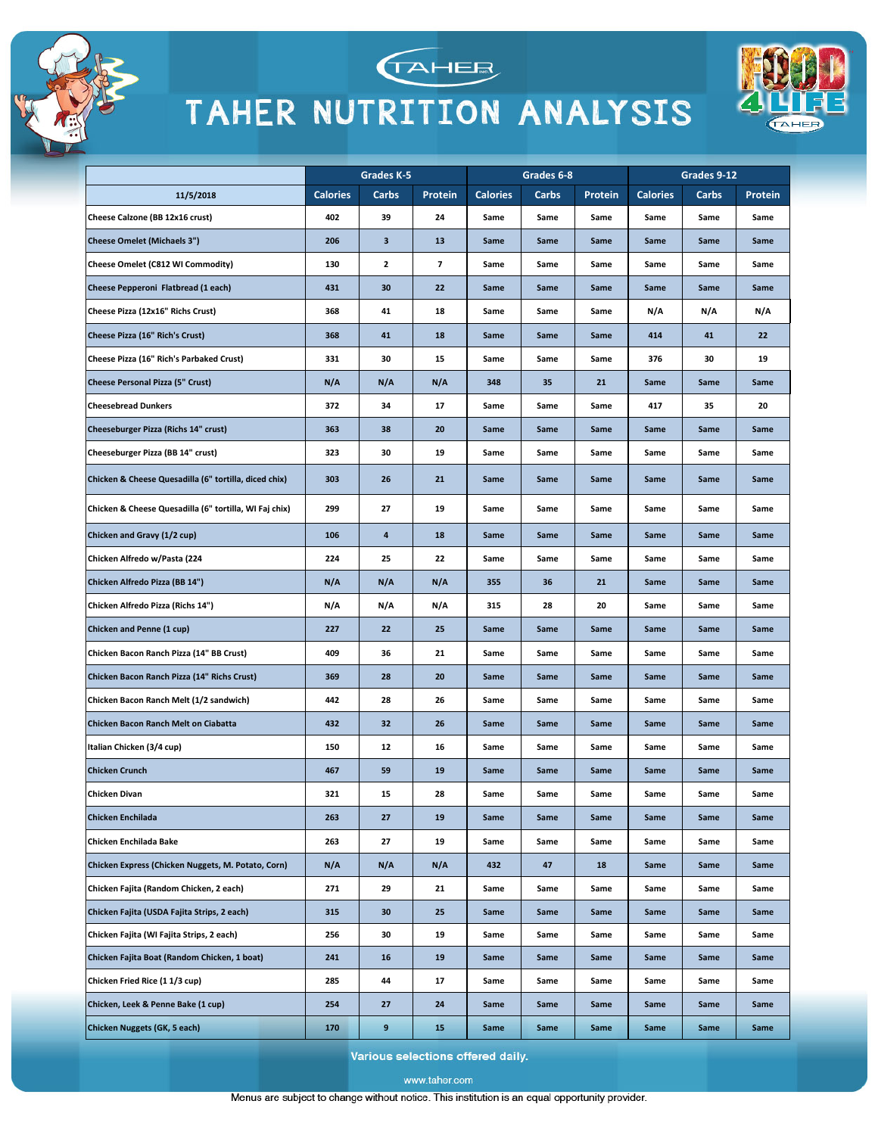



**TAHER** 



Various selections offered daily.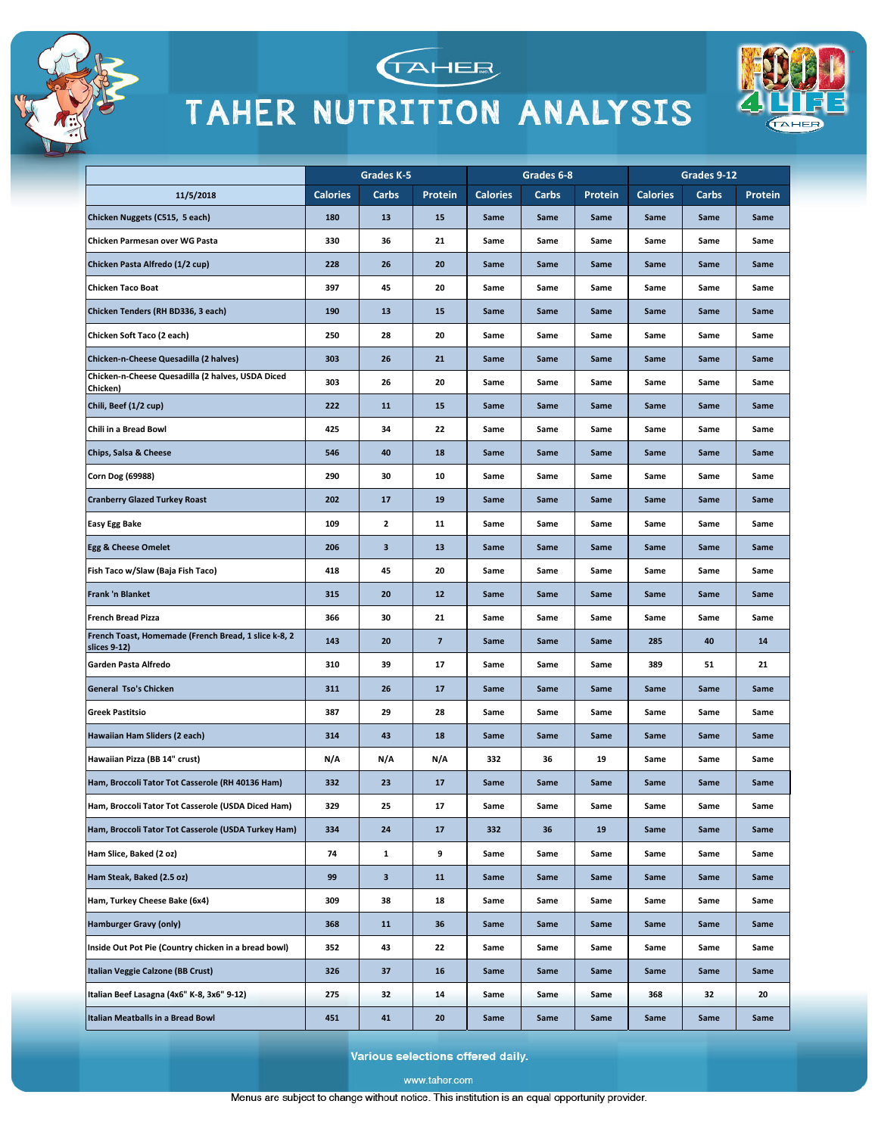



TAHEE



Various selections offered daily.

www.taher.com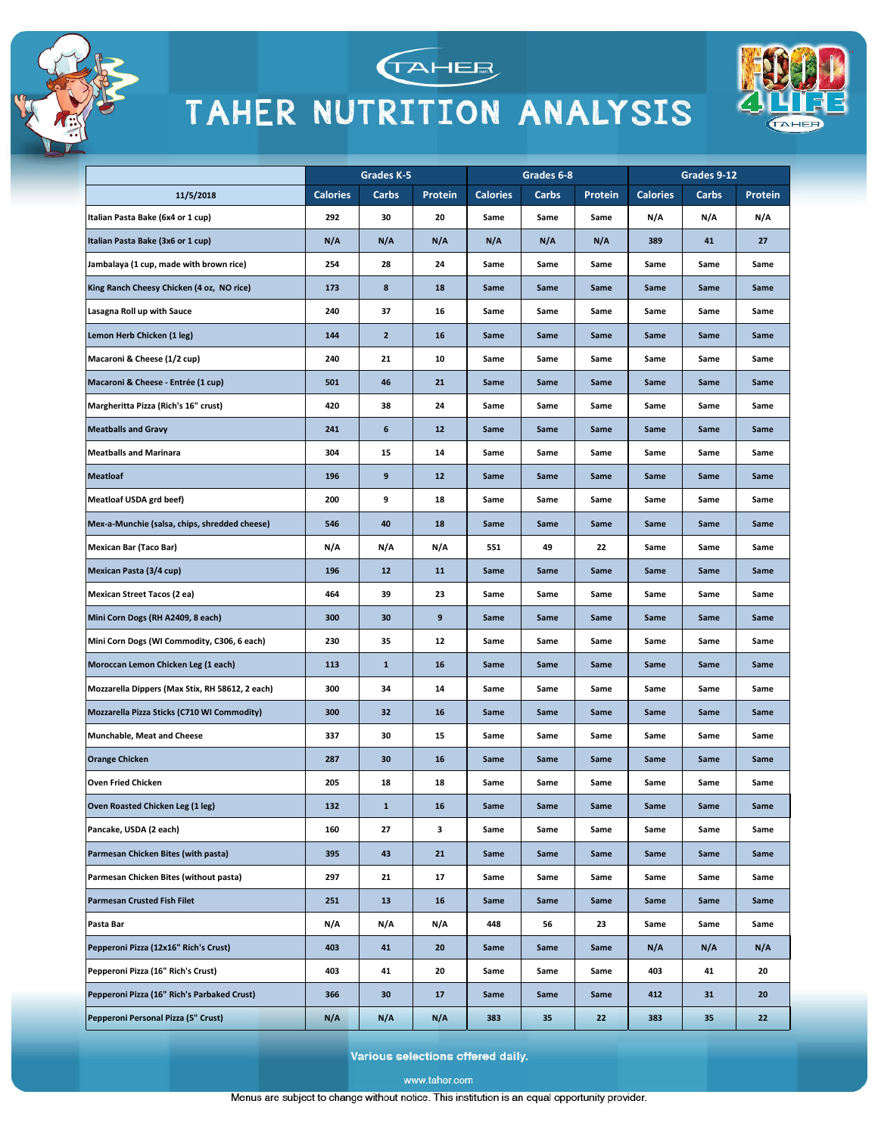



**TAHEE** 



Various selections offered daily.

www.taher.com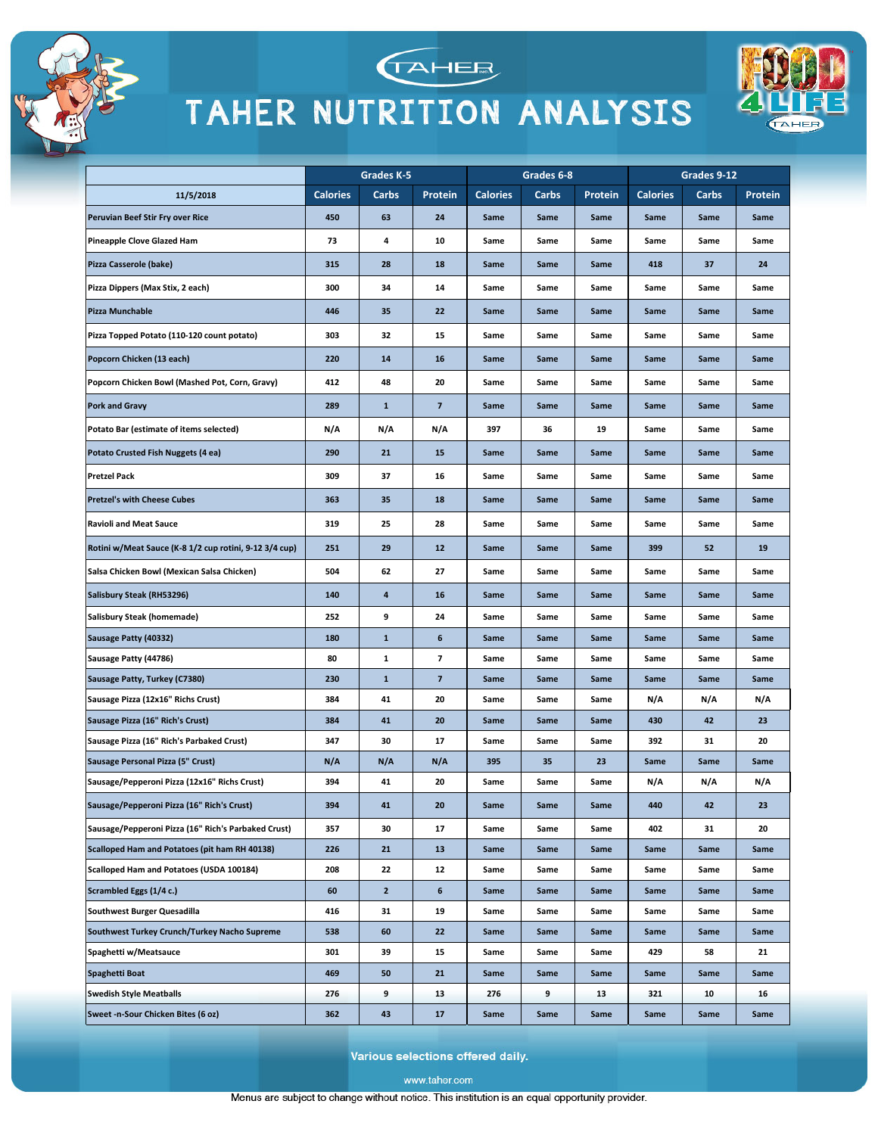



TAHEE



Various selections offered daily.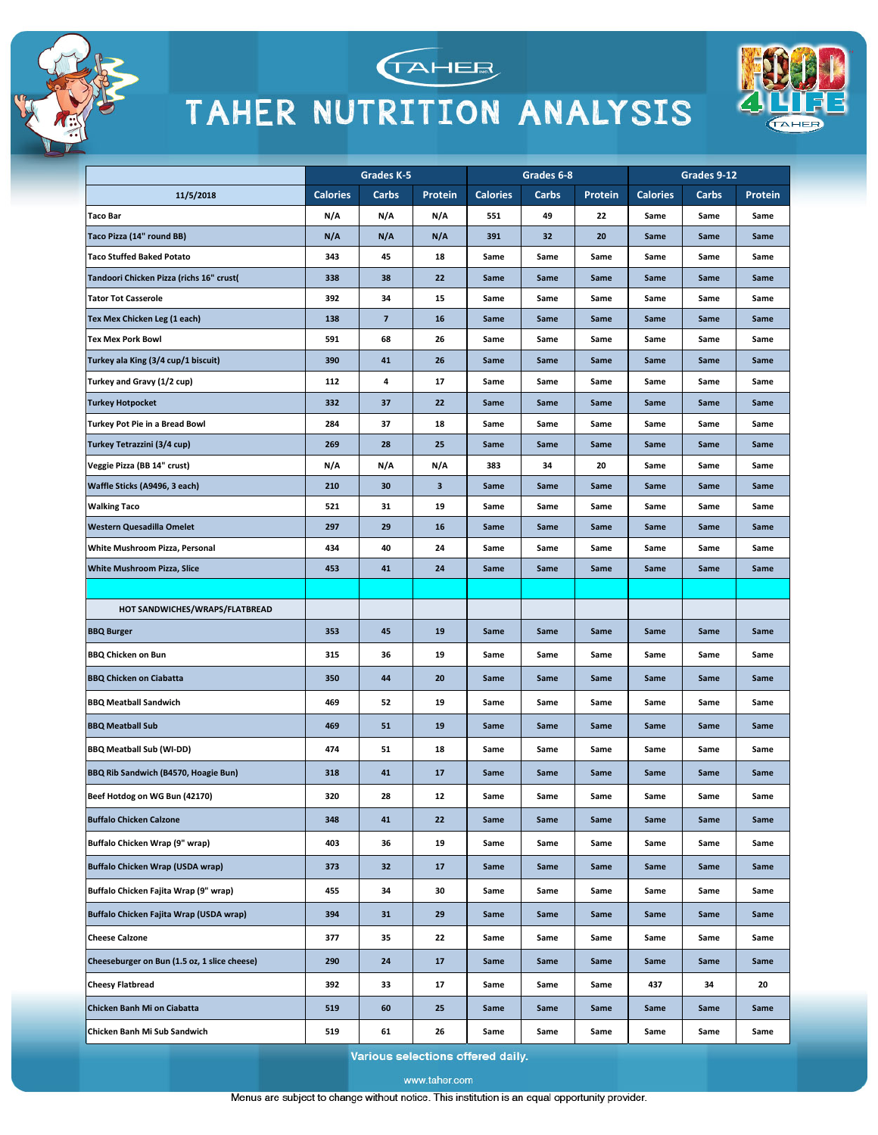





|                                              |                 | Grades K-5               |         |                 | Grades 6-8 |         |                 | Grades 9-12 |         |
|----------------------------------------------|-----------------|--------------------------|---------|-----------------|------------|---------|-----------------|-------------|---------|
| 11/5/2018                                    | <b>Calories</b> | Carbs                    | Protein | <b>Calories</b> | Carbs      | Protein | <b>Calories</b> | Carbs       | Protein |
| <b>Taco Bar</b>                              | N/A             | N/A                      | N/A     | 551             | 49         | 22      | Same            | Same        | Same    |
| Taco Pizza (14" round BB)                    | N/A             | N/A                      | N/A     | 391             | 32         | 20      | Same            | Same        | Same    |
| <b>Taco Stuffed Baked Potato</b>             | 343             | 45                       | 18      | Same            | Same       | Same    | Same            | Same        | Same    |
| Tandoori Chicken Pizza (richs 16" crust(     | 338             | 38                       | 22      | Same            | Same       | Same    | Same            | Same        | Same    |
| <b>Tator Tot Casserole</b>                   | 392             | 34                       | 15      | Same            | Same       | Same    | Same            | Same        | Same    |
| Tex Mex Chicken Leg (1 each)                 | 138             | $\overline{\phantom{a}}$ | 16      | Same            | Same       | Same    | Same            | Same        | Same    |
| <b>Tex Mex Pork Bowl</b>                     | 591             | 68                       | 26      | Same            | Same       | Same    | Same            | Same        | Same    |
| Turkey ala King (3/4 cup/1 biscuit)          | 390             | 41                       | 26      | Same            | Same       | Same    | Same            | Same        | Same    |
| Turkey and Gravy (1/2 cup)                   | 112             | 4                        | 17      | Same            | Same       | Same    | Same            | Same        | Same    |
| <b>Turkey Hotpocket</b>                      | 332             | 37                       | 22      | Same            | Same       | Same    | Same            | Same        | Same    |
| Turkey Pot Pie in a Bread Bowl               | 284             | 37                       | 18      | Same            | Same       | Same    | Same            | Same        | Same    |
| Turkey Tetrazzini (3/4 cup)                  | 269             | 28                       | 25      | Same            | Same       | Same    | Same            | Same        | Same    |
| Veggie Pizza (BB 14" crust)                  | N/A             | N/A                      | N/A     | 383             | 34         | 20      | Same            | Same        | Same    |
| Waffle Sticks (A9496, 3 each)                | 210             | 30                       | 3       | Same            | Same       | Same    | Same            | Same        | Same    |
| <b>Walking Taco</b>                          | 521             | 31                       | 19      | Same            | Same       | Same    | Same            | Same        | Same    |
| Western Quesadilla Omelet                    | 297             | 29                       | 16      | Same            | Same       | Same    | Same            | Same        | Same    |
| White Mushroom Pizza, Personal               | 434             | 40                       | 24      | Same            | Same       | Same    | Same            | Same        | Same    |
| White Mushroom Pizza, Slice                  | 453             | 41                       | 24      | Same            | Same       | Same    | Same            | Same        | Same    |
|                                              |                 |                          |         |                 |            |         |                 |             |         |
| HOT SANDWICHES/WRAPS/FLATBREAD               |                 |                          |         |                 |            |         |                 |             |         |
| <b>BBQ Burger</b>                            | 353             | 45                       | 19      | Same            | Same       | Same    | Same            | Same        | Same    |
| <b>BBQ Chicken on Bun</b>                    | 315             | 36                       | 19      | Same            | Same       | Same    | Same            | Same        | Same    |
| <b>BBQ Chicken on Ciabatta</b>               | 350             | 44                       | 20      | Same            | Same       | Same    | Same            | Same        | Same    |
| <b>BBQ Meatball Sandwich</b>                 | 469             | 52                       | 19      | Same            | Same       | Same    | Same            | Same        | Same    |
| <b>BBQ Meatball Sub</b>                      | 469             | 51                       | 19      | Same            | Same       | Same    | Same            | Same        | Same    |
| <b>BBQ Meatball Sub (WI-DD)</b>              | 474             | 51                       | 18      | Same            | Same       | Same    | Same            | Same        | Same    |
| BBQ Rib Sandwich (B4570, Hoagie Bun)         | 318             | 41                       | 17      | Same            | Same       | Same    | Same            | Same        | Same    |
| Beef Hotdog on WG Bun (42170)                | 320             | 28                       | 12      | Same            | Same       | Same    | Same            | Same        | Same    |
| <b>Buffalo Chicken Calzone</b>               | 348             | 41                       | 22      | Same            | Same       | Same    | Same            | Same        | Same    |
| Buffalo Chicken Wrap (9" wrap)               | 403             | 36                       | 19      | Same            | Same       | Same    | Same            | Same        | Same    |
| Buffalo Chicken Wrap (USDA wrap)             | 373             | 32                       | 17      | Same            | Same       | Same    | Same            | Same        | Same    |
| Buffalo Chicken Fajita Wrap (9" wrap)        | 455             | 34                       | 30      | Same            | Same       | Same    | Same            | Same        | Same    |
| Buffalo Chicken Fajita Wrap (USDA wrap)      | 394             | 31                       | 29      | Same            | Same       | Same    | Same            | Same        | Same    |
| <b>Cheese Calzone</b>                        | 377             | 35                       | 22      | Same            | Same       | Same    | Same            | Same        | Same    |
| Cheeseburger on Bun (1.5 oz, 1 slice cheese) | 290             | 24                       | 17      | Same            | Same       | Same    | Same            | Same        | Same    |
| <b>Cheesy Flatbread</b>                      | 392             | 33                       | 17      | Same            | Same       | Same    | 437             | 34          | 20      |
| Chicken Banh Mi on Ciabatta                  | 519             | 60                       | 25      | Same            | Same       | Same    | Same            | Same        | Same    |
| Chicken Banh Mi Sub Sandwich                 | 519             | 61                       | 26      | Same            | Same       | Same    | Same            | Same        | Same    |

Various selections offered daily.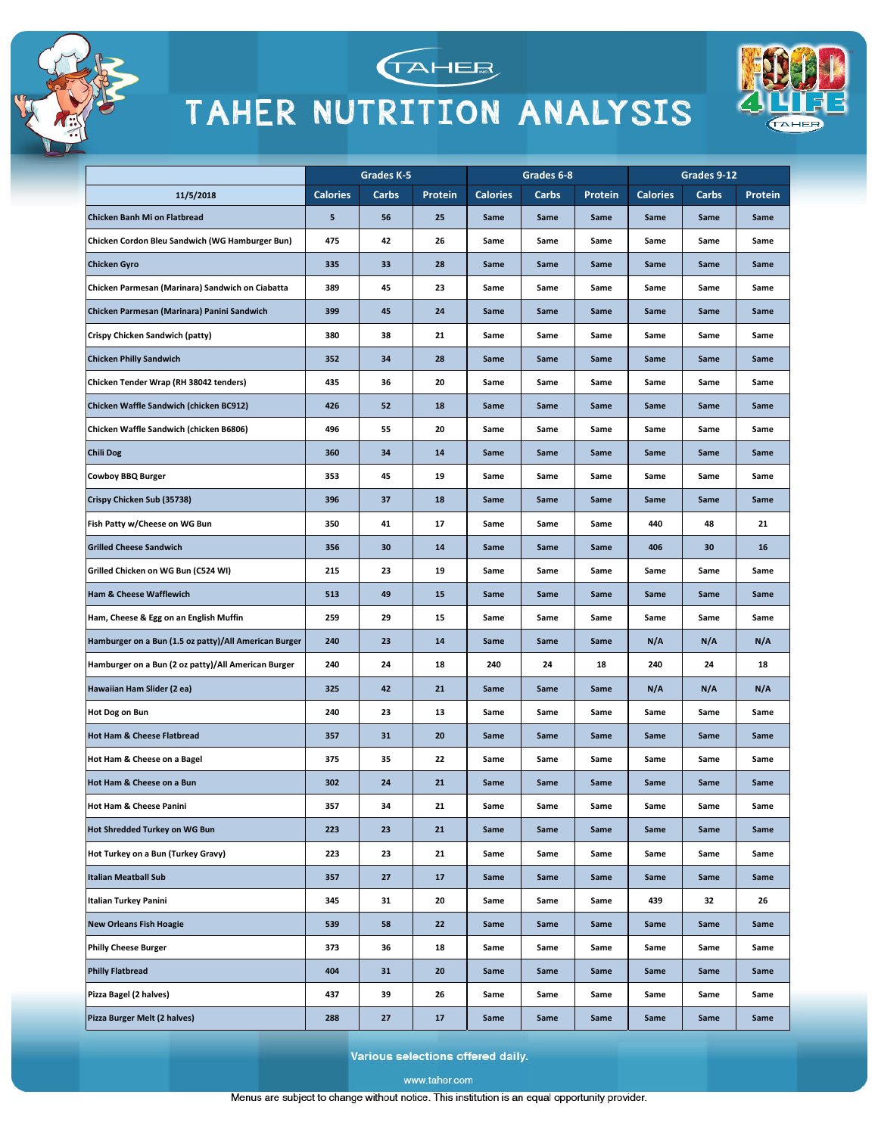



**TAHEE** 



Various selections offered daily.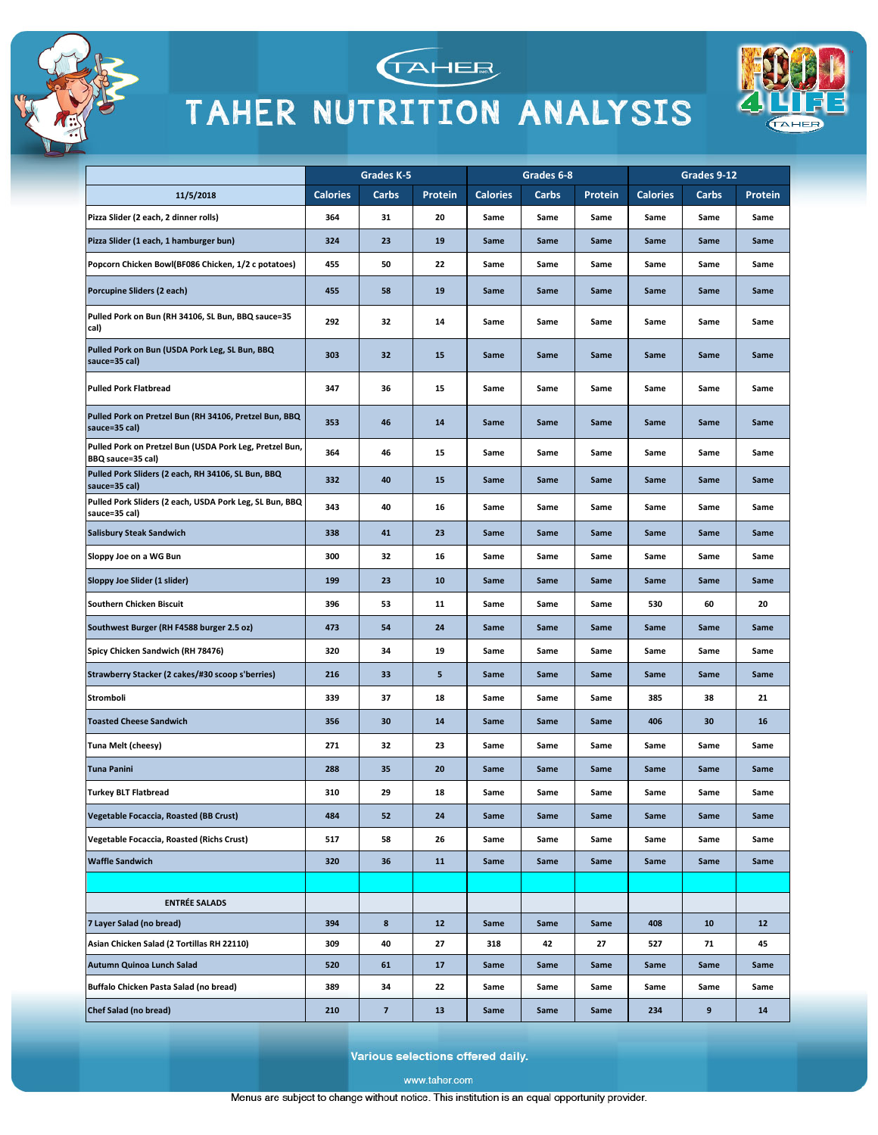



TAHER



Various selections offered daily.

www.taher.com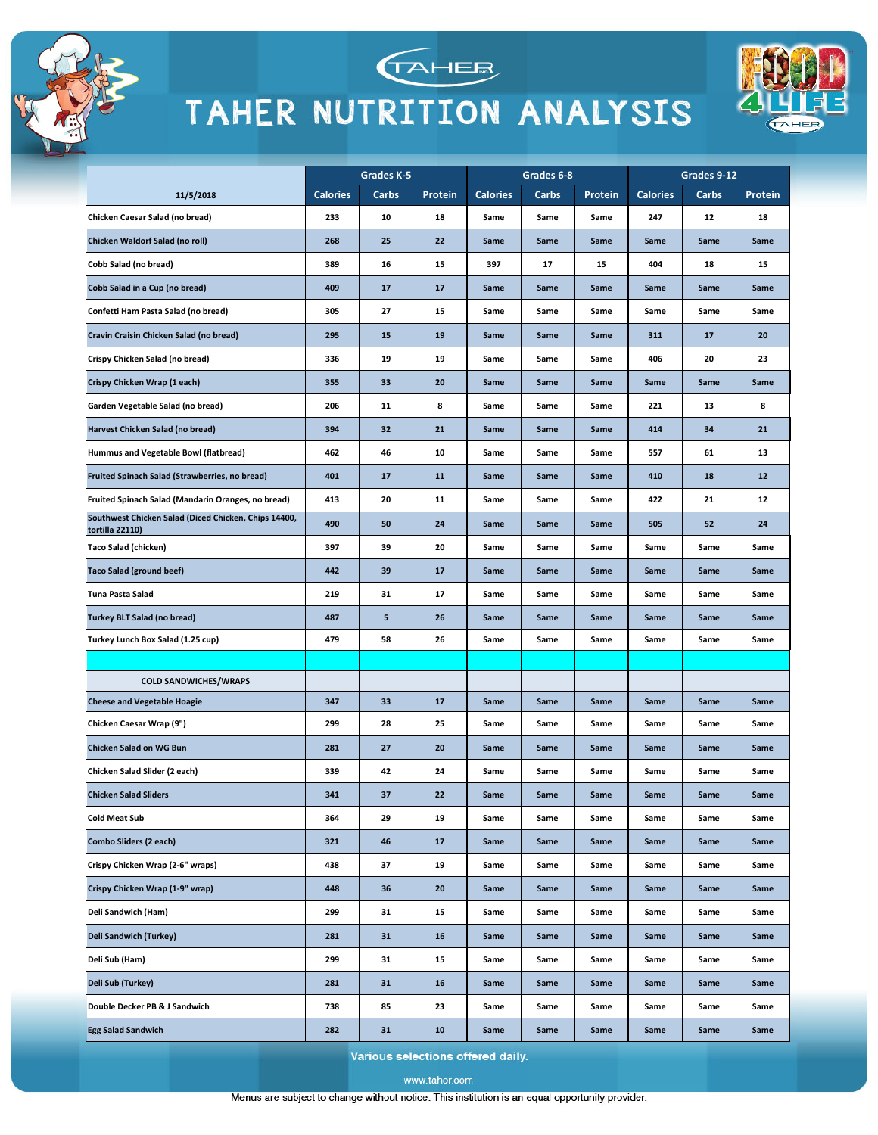



TAHER

|                                                                         |                 | Grades K-5 |         |                 | Grades 6-8 |         |                 | Grades 9-12 |         |
|-------------------------------------------------------------------------|-----------------|------------|---------|-----------------|------------|---------|-----------------|-------------|---------|
| 11/5/2018                                                               | <b>Calories</b> | Carbs      | Protein | <b>Calories</b> | Carbs      | Protein | <b>Calories</b> | Carbs       | Protein |
| Chicken Caesar Salad (no bread)                                         | 233             | 10         | 18      | Same            | Same       | Same    | 247             | 12          | 18      |
| Chicken Waldorf Salad (no roll)                                         | 268             | 25         | 22      | Same            | Same       | Same    | Same            | Same        | Same    |
| Cobb Salad (no bread)                                                   | 389             | 16         | 15      | 397             | 17         | 15      | 404             | 18          | 15      |
| Cobb Salad in a Cup (no bread)                                          | 409             | 17         | 17      | Same            | Same       | Same    | Same            | Same        | Same    |
| Confetti Ham Pasta Salad (no bread)                                     | 305             | 27         | 15      | Same            | Same       | Same    | Same            | Same        | Same    |
| Cravin Craisin Chicken Salad (no bread)                                 | 295             | 15         | 19      | Same            | Same       | Same    | 311             | 17          | 20      |
| Crispy Chicken Salad (no bread)                                         | 336             | 19         | 19      | Same            | Same       | Same    | 406             | 20          | 23      |
| Crispy Chicken Wrap (1 each)                                            | 355             | 33         | 20      | Same            | Same       | Same    | Same            | Same        | Same    |
| Garden Vegetable Salad (no bread)                                       | 206             | 11         | 8       | Same            | Same       | Same    | 221             | 13          | 8       |
| Harvest Chicken Salad (no bread)                                        | 394             | 32         | 21      | Same            | Same       | Same    | 414             | 34          | 21      |
| Hummus and Vegetable Bowl (flatbread)                                   | 462             | 46         | 10      | Same            | Same       | Same    | 557             | 61          | 13      |
| <b>Fruited Spinach Salad (Strawberries, no bread)</b>                   | 401             | 17         | 11      | Same            | Same       | Same    | 410             | 18          | 12      |
| Fruited Spinach Salad (Mandarin Oranges, no bread)                      | 413             | 20         | 11      | Same            | Same       | Same    | 422             | 21          | 12      |
| Southwest Chicken Salad (Diced Chicken, Chips 14400,<br>tortilla 22110) | 490             | 50         | 24      | Same            | Same       | Same    | 505             | 52          | 24      |
| <b>Taco Salad (chicken)</b>                                             | 397             | 39         | 20      | Same            | Same       | Same    | Same            | Same        | Same    |
| <b>Taco Salad (ground beef)</b>                                         | 442             | 39         | 17      | Same            | Same       | Same    | Same            | Same        | Same    |
| Tuna Pasta Salad                                                        | 219             | 31         | 17      | Same            | Same       | Same    | Same            | Same        | Same    |
| <b>Turkey BLT Salad (no bread)</b>                                      | 487             | 5          | 26      | Same            | Same       | Same    | Same            | Same        | Same    |
| Turkey Lunch Box Salad (1.25 cup)                                       | 479             | 58         | 26      | Same            | Same       | Same    | Same            | Same        | Same    |
|                                                                         |                 |            |         |                 |            |         |                 |             |         |
| <b>COLD SANDWICHES/WRAPS</b>                                            |                 |            |         |                 |            |         |                 |             |         |
| <b>Cheese and Vegetable Hoagie</b>                                      | 347             | 33         | 17      | Same            | Same       | Same    | Same            | Same        | Same    |
| Chicken Caesar Wrap (9")                                                | 299             | 28         | 25      | Same            | Same       | Same    | Same            | Same        | Same    |
| <b>Chicken Salad on WG Bun</b>                                          | 281             | 27         | 20      | Same            | Same       | Same    | Same            | Same        | Same    |
| Chicken Salad Slider (2 each)                                           | 339             | 42         | 24      | Same            | Same       | Same    | Same            | Same        | Same    |
| <b>Chicken Salad Sliders</b>                                            | 341             | 37         | 22      | Same            | Same       | Same    | Same            | Same        | Same    |
| <b>Cold Meat Sub</b>                                                    | 364             | 29         | 19      | Same            | Same       | Same    | Same            | Same        | Same    |
| <b>Combo Sliders (2 each)</b>                                           | 321             | 46         | 17      | Same            | Same       | Same    | Same            | Same        | Same    |
| Crispy Chicken Wrap (2-6" wraps)                                        | 438             | 37         | 19      | Same            | Same       | Same    | Same            | Same        | Same    |
| Crispy Chicken Wrap (1-9" wrap)                                         | 448             | 36         | 20      | Same            | Same       | Same    | Same            | Same        | Same    |
| Deli Sandwich (Ham)                                                     | 299             | 31         | 15      | Same            | Same       | Same    | Same            | Same        | Same    |
| Deli Sandwich (Turkey)                                                  | 281             | 31         | 16      | Same            | Same       | Same    | Same            | Same        | Same    |
| Deli Sub (Ham)                                                          | 299             | 31         | 15      | Same            | Same       | Same    | Same            | Same        | Same    |
| Deli Sub (Turkey)                                                       | 281             | 31         | 16      | Same            | Same       | Same    | Same            | Same        | Same    |
| Double Decker PB & J Sandwich                                           | 738             | 85         | 23      | Same            | Same       | Same    | Same            | Same        | Same    |
| <b>Egg Salad Sandwich</b>                                               | 282             | 31         | 10      | Same            | Same       | Same    | Same            | Same        | Same    |

Various selections offered daily.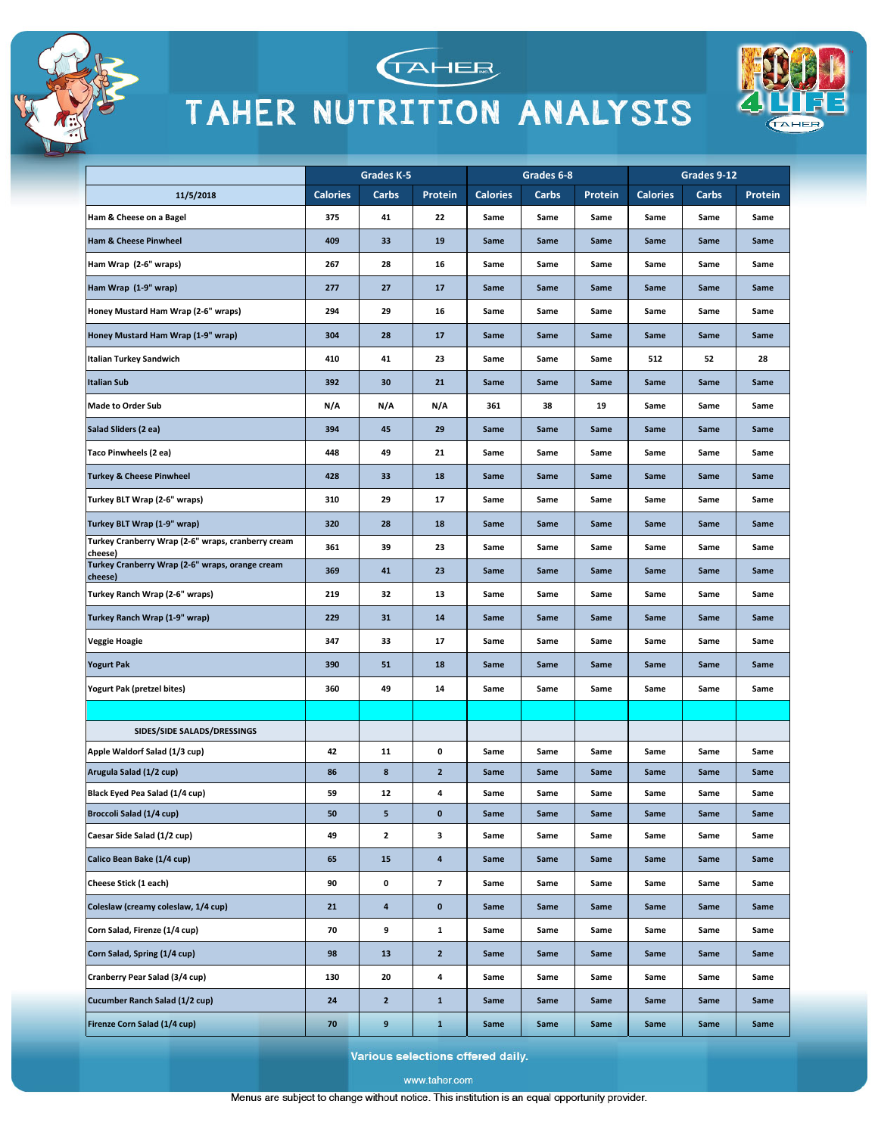



TAHEE



Various selections offered daily.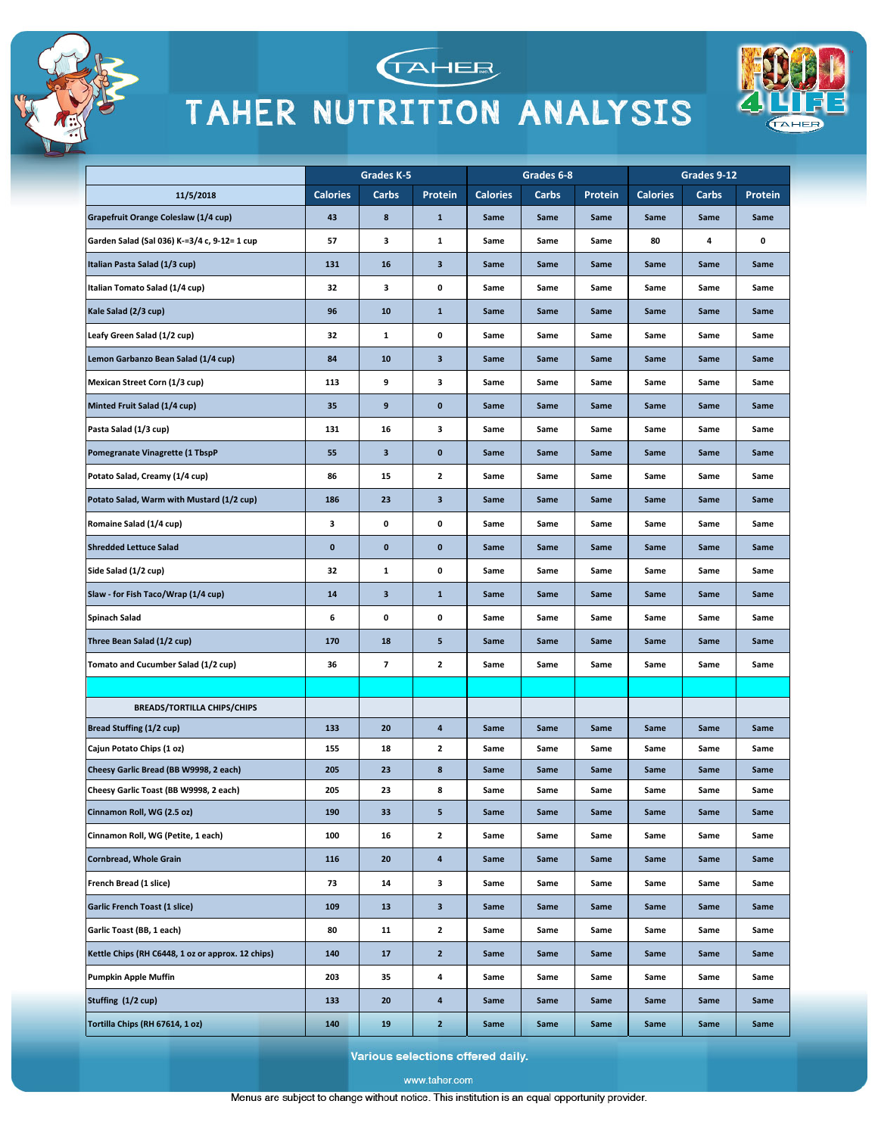



TAHER

|                                                   |                 | Grades K-5 |                           |                 | Grades 6-8 |         |                 | Grades 9-12 |         |
|---------------------------------------------------|-----------------|------------|---------------------------|-----------------|------------|---------|-----------------|-------------|---------|
| 11/5/2018                                         | <b>Calories</b> | Carbs      | Protein                   | <b>Calories</b> | Carbs      | Protein | <b>Calories</b> | Carbs       | Protein |
| Grapefruit Orange Coleslaw (1/4 cup)              | 43              | 8          | $\mathbf 1$               | Same            | Same       | Same    | Same            | Same        | Same    |
| Garden Salad (Sal 036) K-=3/4 c, 9-12= 1 cup      | 57              | з          | 1                         | Same            | Same       | Same    | 80              | 4           | 0       |
| Italian Pasta Salad (1/3 cup)                     | 131             | 16         | 3                         | Same            | Same       | Same    | Same            | Same        | Same    |
| Italian Tomato Salad (1/4 cup)                    | 32              | 3          | 0                         | Same            | Same       | Same    | Same            | Same        | Same    |
| Kale Salad (2/3 cup)                              | 96              | 10         | ${\bf 1}$                 | Same            | Same       | Same    | Same            | Same        | Same    |
| Leafy Green Salad (1/2 cup)                       | 32              | 1          | 0                         | Same            | Same       | Same    | Same            | Same        | Same    |
| Lemon Garbanzo Bean Salad (1/4 cup)               | 84              | 10         | 3                         | Same            | Same       | Same    | Same            | Same        | Same    |
| Mexican Street Corn (1/3 cup)                     | 113             | 9          | 3                         | Same            | Same       | Same    | Same            | Same        | Same    |
| Minted Fruit Salad (1/4 cup)                      | 35              | 9          | 0                         | Same            | Same       | Same    | Same            | Same        | Same    |
| Pasta Salad (1/3 cup)                             | 131             | 16         | 3                         | Same            | Same       | Same    | Same            | Same        | Same    |
| Pomegranate Vinagrette (1 TbspP                   | 55              | 3          | $\bf{0}$                  | Same            | Same       | Same    | Same            | Same        | Same    |
| Potato Salad, Creamy (1/4 cup)                    | 86              | 15         | 2                         | Same            | Same       | Same    | Same            | Same        | Same    |
| Potato Salad, Warm with Mustard (1/2 cup)         | 186             | 23         | 3                         | Same            | Same       | Same    | Same            | Same        | Same    |
| Romaine Salad (1/4 cup)                           | 3               | 0          | 0                         | Same            | Same       | Same    | Same            | Same        | Same    |
| <b>Shredded Lettuce Salad</b>                     | 0               | 0          | 0                         | Same            | Same       | Same    | Same            | Same        | Same    |
| Side Salad (1/2 cup)                              | 32              | 1          | 0                         | Same            | Same       | Same    | Same            | Same        | Same    |
| Slaw - for Fish Taco/Wrap (1/4 cup)               | 14              | 3          | ${\bf 1}$                 | Same            | Same       | Same    | Same            | Same        | Same    |
| Spinach Salad                                     | 6               | 0          | 0                         | Same            | Same       | Same    | Same            | Same        | Same    |
| Three Bean Salad (1/2 cup)                        | 170             | 18         | 5                         | Same            | Same       | Same    | Same            | Same        | Same    |
| Tomato and Cucumber Salad (1/2 cup)               | 36              | 7          | 2                         | Same            | Same       | Same    | Same            | Same        | Same    |
|                                                   |                 |            |                           |                 |            |         |                 |             |         |
| <b>BREADS/TORTILLA CHIPS/CHIPS</b>                |                 |            |                           |                 |            |         |                 |             |         |
| Bread Stuffing (1/2 cup)                          | 133             | 20         | 4                         | Same            | Same       | Same    | Same            | Same        | Same    |
| Cajun Potato Chips (1 oz)                         | 155             | 18         | 2                         | Same            | Same       | Same    | Same            | Same        | Same    |
| Cheesy Garlic Bread (BB W9998, 2 each)            | 205             | 23         | 8                         | Same            | Same       | Same    | Same            | Same        | Same    |
| Cheesy Garlic Toast (BB W9998, 2 each)            | 205             | 23         | 8                         | Same            | Same       | Same    | Same            | Same        | Same    |
| Cinnamon Roll, WG (2.5 oz)                        | 190             | 33         | 5                         | Same            | Same       | Same    | Same            | Same        | Same    |
| Cinnamon Roll, WG (Petite, 1 each)                | 100             | 16         | $\mathbf{2}$              | Same            | Same       | Same    | Same            | Same        | Same    |
| <b>Cornbread, Whole Grain</b>                     | 116             | 20         | 4                         | Same            | Same       | Same    | Same            | Same        | Same    |
| French Bread (1 slice)                            | 73              | 14         | 3                         | Same            | Same       | Same    | Same            | Same        | Same    |
| Garlic French Toast (1 slice)                     | 109             | 13         | $\ensuremath{\mathsf{3}}$ | Same            | Same       | Same    | Same            | Same        | Same    |
| Garlic Toast (BB, 1 each)                         | 80              | 11         | $\mathbf{2}$              | Same            | Same       | Same    | Same            | Same        | Same    |
| Kettle Chips (RH C6448, 1 oz or approx. 12 chips) | 140             | 17         | $\mathbf{2}$              | Same            | Same       | Same    | Same            | Same        | Same    |
| Pumpkin Apple Muffin                              | 203             | 35         | 4                         | Same            | Same       | Same    | Same            | Same        | Same    |
| Stuffing (1/2 cup)                                | 133             | 20         | 4                         | Same            | Same       | Same    | Same            | Same        | Same    |
| Tortilla Chips (RH 67614, 1 oz)                   | 140             | 19         | $\mathbf{z}$              | Same            | Same       | Same    | Same            | Same        | Same    |

Various selections offered daily.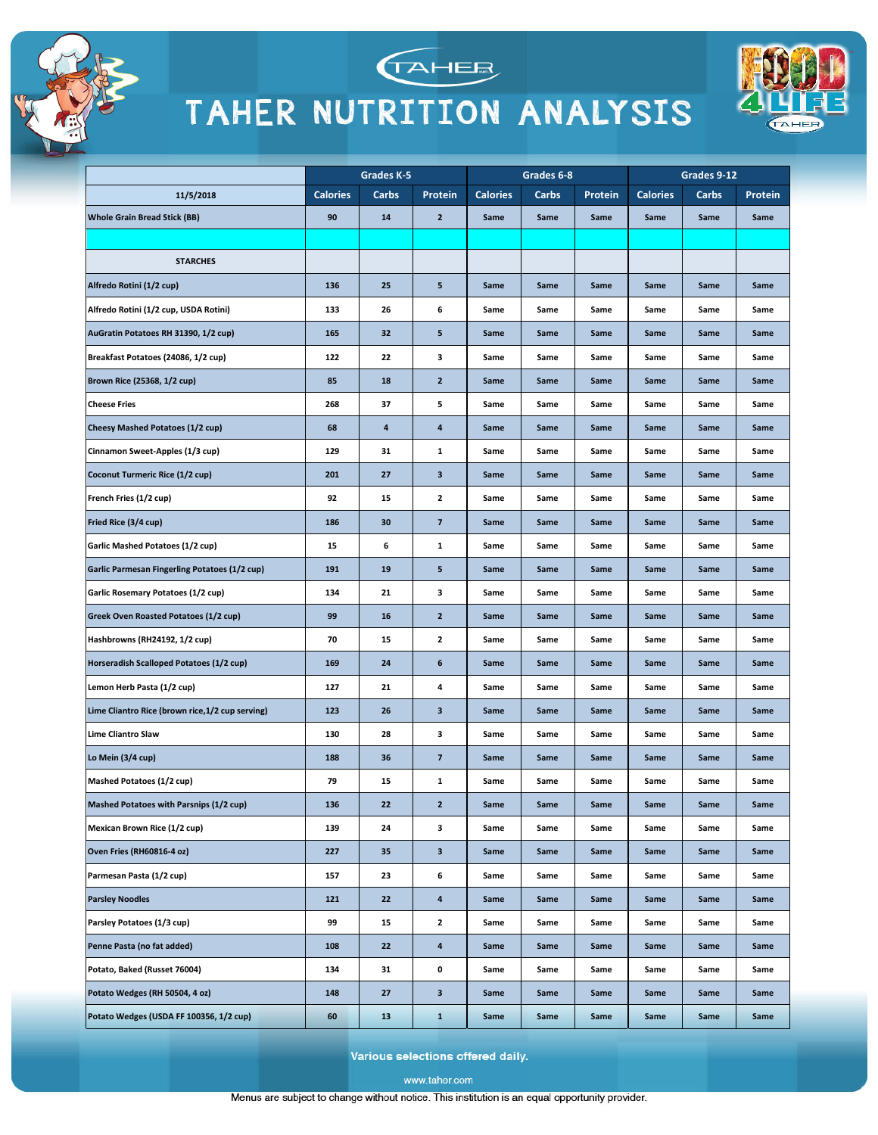





|                                                      |                 | Grades K-5 |                         |                 | Grades 6-8 |         |                 | Grades 9-12 |         |
|------------------------------------------------------|-----------------|------------|-------------------------|-----------------|------------|---------|-----------------|-------------|---------|
| 11/5/2018                                            | <b>Calories</b> | Carbs      | Protein                 | <b>Calories</b> | Carbs      | Protein | <b>Calories</b> | Carbs       | Protein |
| <b>Whole Grain Bread Stick (BB)</b>                  | 90              | 14         | $\mathbf{2}$            | Same            | Same       | Same    | Same            | Same        | Same    |
|                                                      |                 |            |                         |                 |            |         |                 |             |         |
| <b>STARCHES</b>                                      |                 |            |                         |                 |            |         |                 |             |         |
| Alfredo Rotini (1/2 cup)                             | 136             | 25         | 5                       | Same            | Same       | Same    | Same            | Same        | Same    |
| Alfredo Rotini (1/2 cup, USDA Rotini)                | 133             | 26         | 6                       | Same            | Same       | Same    | Same            | Same        | Same    |
| AuGratin Potatoes RH 31390, 1/2 cup)                 | 165             | 32         | 5                       | Same            | Same       | Same    | Same            | Same        | Same    |
| Breakfast Potatoes (24086, 1/2 cup)                  | 122             | 22         | з                       | Same            | Same       | Same    | Same            | Same        | Same    |
| Brown Rice (25368, 1/2 cup)                          | 85              | 18         | $\overline{2}$          | Same            | Same       | Same    | Same            | Same        | Same    |
| <b>Cheese Fries</b>                                  | 268             | 37         | 5                       | Same            | Same       | Same    | Same            | Same        | Same    |
| <b>Cheesy Mashed Potatoes (1/2 cup)</b>              | 68              | 4          | 4                       | Same            | Same       | Same    | Same            | Same        | Same    |
| Cinnamon Sweet-Apples (1/3 cup)                      | 129             | 31         | 1                       | Same            | Same       | Same    | Same            | Same        | Same    |
| Coconut Turmeric Rice (1/2 cup)                      | 201             | 27         | 3                       | Same            | Same       | Same    | Same            | Same        | Same    |
| French Fries (1/2 cup)                               | 92              | 15         | $\mathbf{2}$            | Same            | Same       | Same    | Same            | Same        | Same    |
| Fried Rice (3/4 cup)                                 | 186             | 30         | $\overline{\mathbf{z}}$ | Same            | Same       | Same    | Same            | Same        | Same    |
| Garlic Mashed Potatoes (1/2 cup)                     | 15              | 6          | 1                       | Same            | Same       | Same    | Same            | Same        | Same    |
| <b>Garlic Parmesan Fingerling Potatoes (1/2 cup)</b> | 191             | 19         | 5                       | Same            | Same       | Same    | Same            | Same        | Same    |
| Garlic Rosemary Potatoes (1/2 cup)                   | 134             | 21         | з                       | Same            | Same       | Same    | Same            | Same        | Same    |
| Greek Oven Roasted Potatoes (1/2 cup)                | 99              | 16         | $\mathbf{2}$            | Same            | Same       | Same    | Same            | Same        | Same    |
| Hashbrowns (RH24192, 1/2 cup)                        | 70              | 15         | 2                       | Same            | Same       | Same    | Same            | Same        | Same    |
| Horseradish Scalloped Potatoes (1/2 cup)             | 169             | 24         | 6                       | Same            | Same       | Same    | Same            | Same        | Same    |
| Lemon Herb Pasta (1/2 cup)                           | 127             | 21         | 4                       | Same            | Same       | Same    | Same            | Same        | Same    |
| Lime Cliantro Rice (brown rice, 1/2 cup serving)     | 123             | 26         | 3                       | Same            | Same       | Same    | Same            | Same        | Same    |
| Lime Cliantro Slaw                                   | 130             | 28         | 3                       | Same            | Same       | Same    | Same            | Same        | Same    |
| Lo Mein (3/4 cup)                                    | 188             | 36         | $\overline{\mathbf{z}}$ | Same            | Same       | Same    | Same            | Same        | Same    |
| Mashed Potatoes (1/2 cup)                            | 79              | 15         | 1                       | Same            | Same       | Same    | Same            | Same        | Same    |
| Mashed Potatoes with Parsnips (1/2 cup)              | 136             | 22         | 2                       | Same            | Same       | Same    | Same            | Same        | Same    |
| Mexican Brown Rice (1/2 cup)                         | 139             | 24         | з                       | Same            | Same       | Same    | Same            | Same        | Same    |
| Oven Fries (RH60816-4 oz)                            | 227             | 35         | 3                       | Same            | Same       | Same    | Same            | Same        | Same    |
| Parmesan Pasta (1/2 cup)                             | 157             | 23         | 6                       | Same            | Same       | Same    | Same            | Same        | Same    |
| <b>Parsley Noodles</b>                               | 121             | 22         | 4                       | Same            | Same       | Same    | Same            | Same        | Same    |
| Parsley Potatoes (1/3 cup)                           | 99              | 15         | 2                       | Same            | Same       | Same    | Same            | Same        | Same    |
| Penne Pasta (no fat added)                           | 108             | 22         | 4                       | Same            | Same       | Same    | Same            | Same        | Same    |
| Potato, Baked (Russet 76004)                         | 134             | 31         | 0                       | Same            | Same       | Same    | Same            | Same        | Same    |
| Potato Wedges (RH 50504, 4 oz)                       | 148             | 27         | 3                       | Same            | Same       | Same    | Same            | Same        | Same    |
| Potato Wedges (USDA FF 100356, 1/2 cup)              | 60              | 13         | $\mathbf{1}$            | Same            | Same       | Same    | Same            | Same        | Same    |

Various selections offered daily.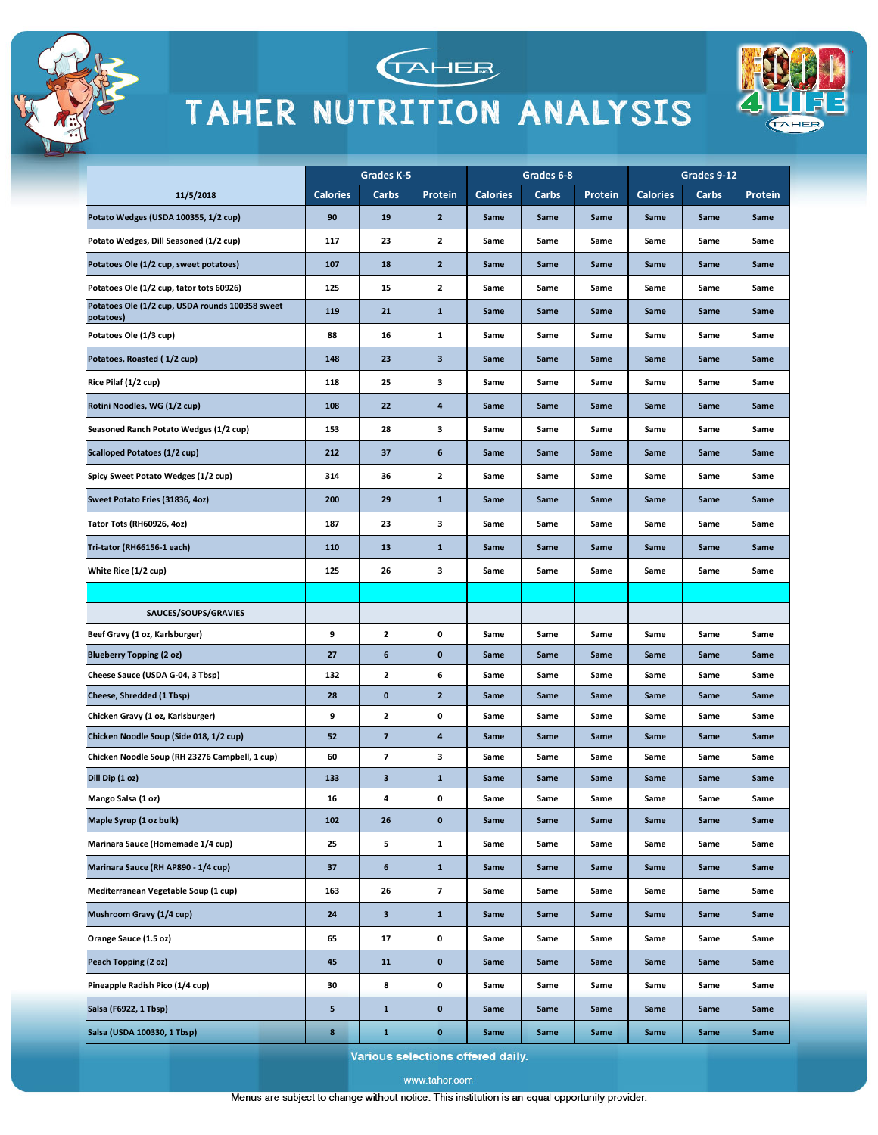



TAHEE



Various selections offered daily.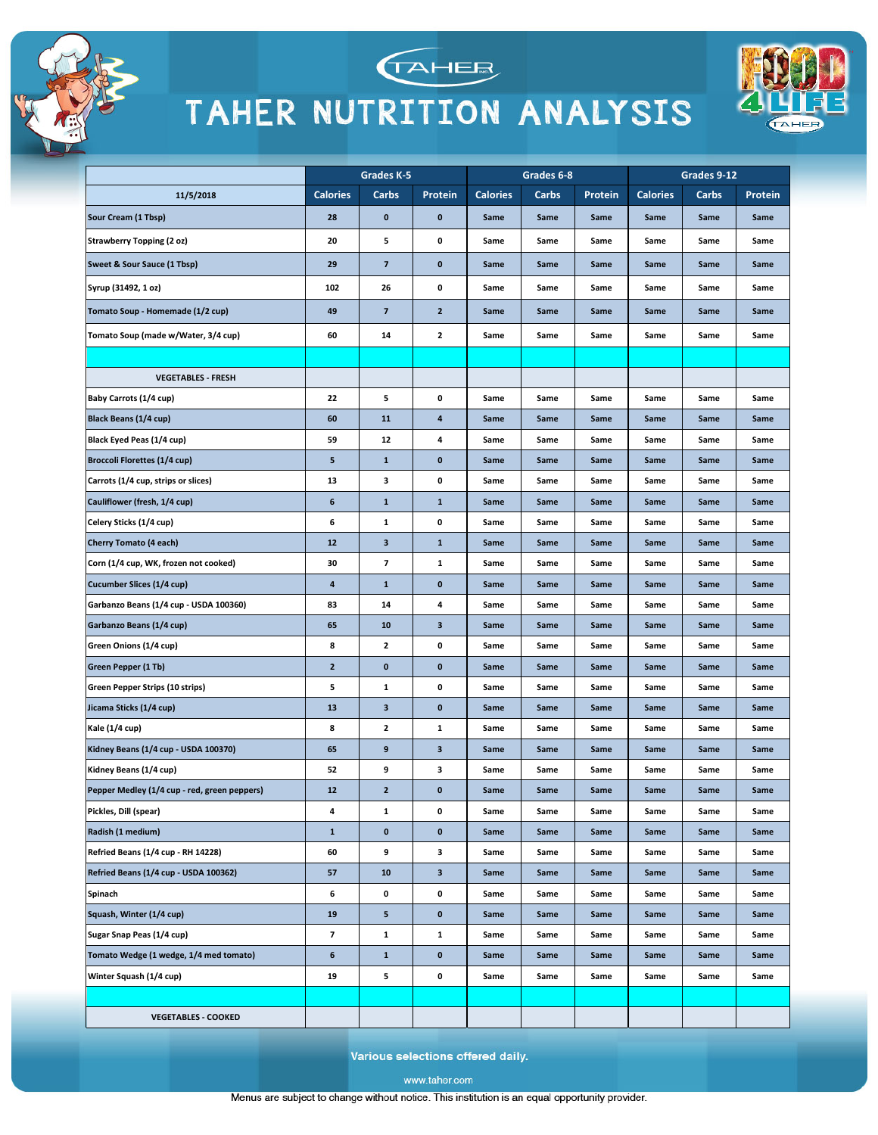





|                                              | Grades K-5      |                          | Grades 6-8   |                 |       | Grades 9-12 |                 |       |         |
|----------------------------------------------|-----------------|--------------------------|--------------|-----------------|-------|-------------|-----------------|-------|---------|
| 11/5/2018                                    | <b>Calories</b> | Carbs                    | Protein      | <b>Calories</b> | Carbs | Protein     | <b>Calories</b> | Carbs | Protein |
| Sour Cream (1 Tbsp)                          | 28              | 0                        | $\bf{0}$     | Same            | Same  | Same        | Same            | Same  | Same    |
| <b>Strawberry Topping (2 oz)</b>             | 20              | 5                        | 0            | Same            | Same  | Same        | Same            | Same  | Same    |
| Sweet & Sour Sauce (1 Tbsp)                  | 29              | $\overline{\mathbf{z}}$  | $\pmb{0}$    | Same            | Same  | Same        | Same            | Same  | Same    |
| Syrup (31492, 1 oz)                          | 102             | 26                       | 0            | Same            | Same  | Same        | Same            | Same  | Same    |
| Tomato Soup - Homemade (1/2 cup)             | 49              | $\overline{\phantom{a}}$ | $\mathbf{2}$ | Same            | Same  | Same        | Same            | Same  | Same    |
| Tomato Soup (made w/Water, 3/4 cup)          | 60              | 14                       | 2            | Same            | Same  | Same        | Same            | Same  | Same    |
|                                              |                 |                          |              |                 |       |             |                 |       |         |
| <b>VEGETABLES - FRESH</b>                    |                 |                          |              |                 |       |             |                 |       |         |
| Baby Carrots (1/4 cup)                       | 22              | 5                        | 0            | Same            | Same  | Same        | Same            | Same  | Same    |
| Black Beans (1/4 cup)                        | 60              | 11                       | 4            | Same            | Same  | Same        | Same            | Same  | Same    |
| Black Eyed Peas (1/4 cup)                    | 59              | 12                       | 4            | Same            | Same  | Same        | Same            | Same  | Same    |
| <b>Broccoli Florettes (1/4 cup)</b>          | 5               | $\mathbf{1}$             | $\bf{0}$     | Same            | Same  | Same        | Same            | Same  | Same    |
| Carrots (1/4 cup, strips or slices)          | 13              | з                        | 0            | Same            | Same  | Same        | Same            | Same  | Same    |
| Cauliflower (fresh, 1/4 cup)                 | 6               | $\mathbf{1}$             | $\mathbf 1$  | Same            | Same  | Same        | Same            | Same  | Same    |
| Celery Sticks (1/4 cup)                      | 6               | 1                        | 0            | Same            | Same  | Same        | Same            | Same  | Same    |
| <b>Cherry Tomato (4 each)</b>                | 12              | 3                        | $\mathbf 1$  | Same            | Same  | Same        | Same            | Same  | Same    |
| Corn (1/4 cup, WK, frozen not cooked)        | 30              | 7                        | $\mathbf 1$  | Same            | Same  | Same        | Same            | Same  | Same    |
| Cucumber Slices (1/4 cup)                    | 4               | $\mathbf{1}$             | $\pmb{0}$    | Same            | Same  | Same        | Same            | Same  | Same    |
| Garbanzo Beans (1/4 cup - USDA 100360)       | 83              | 14                       | 4            | Same            | Same  | Same        | Same            | Same  | Same    |
| Garbanzo Beans (1/4 cup)                     | 65              | 10                       | 3            | Same            | Same  | Same        | Same            | Same  | Same    |
| Green Onions (1/4 cup)                       | 8               | 2                        | 0            | Same            | Same  | Same        | Same            | Same  | Same    |
| Green Pepper (1 Tb)                          | $\mathbf{z}$    | $\pmb{0}$                | $\bf{0}$     | Same            | Same  | Same        | Same            | Same  | Same    |
| Green Pepper Strips (10 strips)              | 5               | 1                        | 0            | Same            | Same  | Same        | Same            | Same  | Same    |
| Jicama Sticks (1/4 cup)                      | 13              | 3                        | $\bf{0}$     | Same            | Same  | Same        | Same            | Same  | Same    |
| Kale (1/4 cup)                               | 8               | 2                        | 1            | Same            | Same  | Same        | Same            | Same  | Same    |
| Kidney Beans (1/4 cup - USDA 100370)         | 65              | 9                        | 3            | Same            | Same  | Same        | Same            | Same  | Same    |
| Kidney Beans (1/4 cup)                       | 52              | 9                        | 3            | Same            | Same  | Same        | Same            | Same  | Same    |
| Pepper Medley (1/4 cup - red, green peppers) | 12              | $\mathbf{2}$             | $\pmb{0}$    | Same            | Same  | Same        | Same            | Same  | Same    |
| Pickles, Dill (spear)                        | 4               | $\mathbf{1}$             | 0            | Same            | Same  | Same        | Same            | Same  | Same    |
| Radish (1 medium)                            | $\mathbf{1}$    | $\bf{0}$                 | 0            | Same            | Same  | Same        | Same            | Same  | Same    |
| Refried Beans (1/4 cup - RH 14228)           | 60              | 9                        | 3            | Same            | Same  | Same        | Same            | Same  | Same    |
| Refried Beans (1/4 cup - USDA 100362)        | 57              | 10                       | 3            | Same            | Same  | Same        | Same            | Same  | Same    |
| Spinach                                      | 6               | 0                        | 0            | Same            | Same  | Same        | Same            | Same  | Same    |
| Squash, Winter (1/4 cup)                     | 19              | 5                        | $\pmb{0}$    | Same            | Same  | Same        | Same            | Same  | Same    |
| Sugar Snap Peas (1/4 cup)                    | 7               | $\mathbf{1}$             | $\mathbf{1}$ | Same            | Same  | Same        | Same            | Same  | Same    |
| Tomato Wedge (1 wedge, 1/4 med tomato)       | 6               | $\mathbf{1}$             | $\bf{0}$     | Same            | Same  | Same        | Same            | Same  | Same    |
| Winter Squash (1/4 cup)                      | 19              | 5                        | 0            | Same            | Same  | Same        | Same            | Same  | Same    |
|                                              |                 |                          |              |                 |       |             |                 |       |         |
| <b>VEGETABLES - COOKED</b>                   |                 |                          |              |                 |       |             |                 |       |         |

Various selections offered daily.

www.taher.com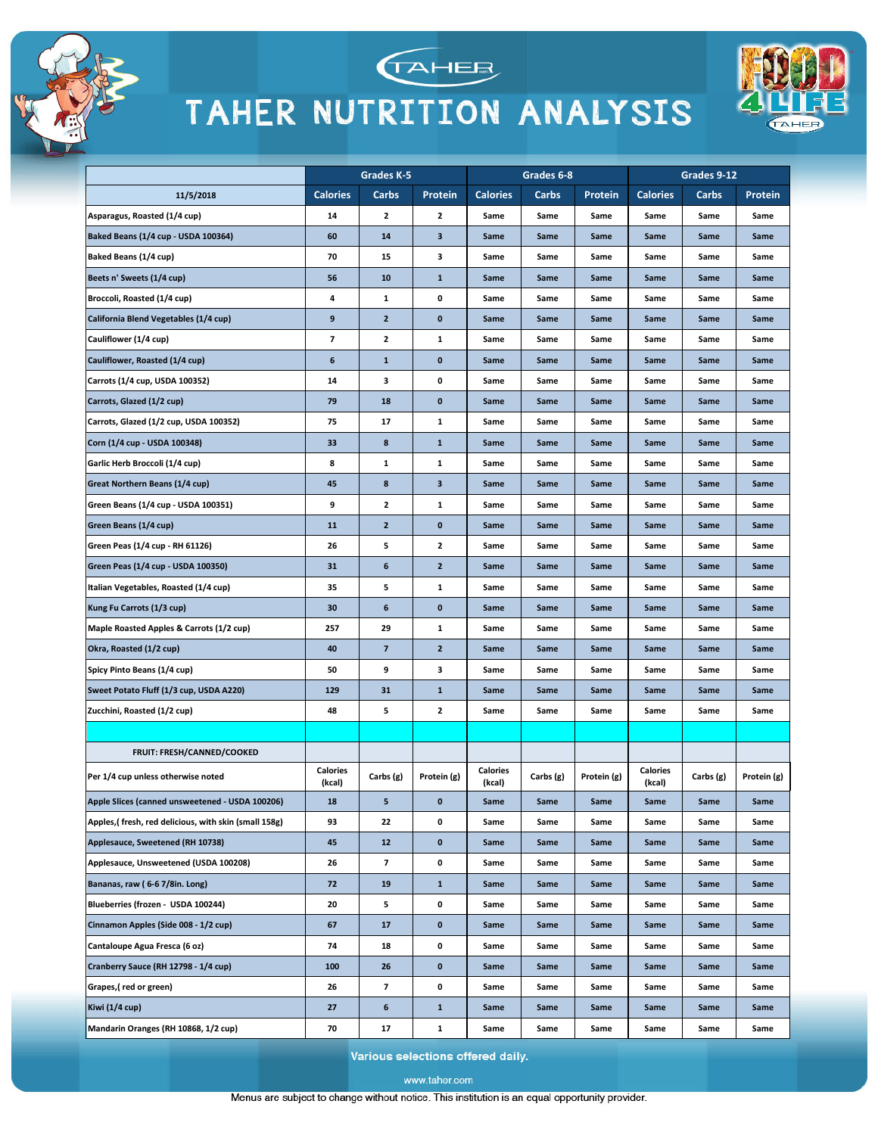





|                                                       |                           | Grades K-5               |                |                           | Grades 6-8 |             |                    | Grades 9-12 |             |
|-------------------------------------------------------|---------------------------|--------------------------|----------------|---------------------------|------------|-------------|--------------------|-------------|-------------|
| 11/5/2018                                             | <b>Calories</b>           | Carbs                    | Protein        | <b>Calories</b>           | Carbs      | Protein     | <b>Calories</b>    | Carbs       | Protein     |
| Asparagus, Roasted (1/4 cup)                          | 14                        | 2                        | 2              | Same                      | Same       | Same        | Same               | Same        | Same        |
| Baked Beans (1/4 cup - USDA 100364)                   | 60                        | 14                       | 3              | Same                      | Same       | Same        | Same               | Same        | Same        |
| Baked Beans (1/4 cup)                                 | 70                        | 15                       | з              | Same                      | Same       | Same        | Same               | Same        | Same        |
| Beets n' Sweets (1/4 cup)                             | 56                        | 10                       | $\mathbf{1}$   | Same                      | Same       | Same        | Same               | Same        | Same        |
| Broccoli, Roasted (1/4 cup)                           | 4                         | 1                        | 0              | Same                      | Same       | Same        | Same               | Same        | Same        |
| California Blend Vegetables (1/4 cup)                 | 9                         | $\mathbf{2}$             | 0              | Same                      | Same       | Same        | Same               | Same        | Same        |
| Cauliflower (1/4 cup)                                 | 7                         | 2                        | 1              | Same                      | Same       | Same        | Same               | Same        | Same        |
| Cauliflower, Roasted (1/4 cup)                        | 6                         | $\mathbf{1}$             | 0              | Same                      | Same       | Same        | Same               | Same        | Same        |
| Carrots (1/4 cup, USDA 100352)                        | 14                        | з                        | 0              | Same                      | Same       | Same        | Same               | Same        | Same        |
| Carrots, Glazed (1/2 cup)                             | 79                        | 18                       | $\pmb{0}$      | Same                      | Same       | Same        | Same               | Same        | Same        |
| Carrots, Glazed (1/2 cup, USDA 100352)                | 75                        | 17                       | 1              | Same                      | Same       | Same        | Same               | Same        | Same        |
| Corn (1/4 cup - USDA 100348)                          | 33                        | 8                        | $\mathbf{1}$   | Same                      | Same       | Same        | Same               | Same        | Same        |
| Garlic Herb Broccoli (1/4 cup)                        | 8                         | $\mathbf{1}$             | 1              | Same                      | Same       | Same        | Same               | Same        | Same        |
| Great Northern Beans (1/4 cup)                        | 45                        | 8                        | 3              | Same                      | Same       | Same        | Same               | Same        | Same        |
| Green Beans (1/4 cup - USDA 100351)                   | 9                         | $\mathbf{2}$             | 1              | Same                      | Same       | Same        | Same               | Same        | Same        |
| Green Beans (1/4 cup)                                 | 11                        | $\mathbf{z}$             | $\pmb{0}$      | Same                      | Same       | Same        | Same               | Same        | Same        |
| Green Peas (1/4 cup - RH 61126)                       | 26                        | 5                        | $\mathbf{2}$   | Same                      | Same       | Same        | Same               | Same        | Same        |
| Green Peas (1/4 cup - USDA 100350)                    | 31                        | 6                        | $\mathbf{z}$   | Same                      | Same       | Same        | Same               | Same        | Same        |
| Italian Vegetables, Roasted (1/4 cup)                 | 35                        | 5                        | 1              | Same                      | Same       | Same        | Same               | Same        | Same        |
| Kung Fu Carrots (1/3 cup)                             | 30                        | 6                        | 0              | Same                      | Same       | Same        | Same               | Same        | Same        |
| Maple Roasted Apples & Carrots (1/2 cup)              | 257                       | 29                       | 1              | Same                      | Same       | Same        | Same               | Same        | Same        |
| Okra, Roasted (1/2 cup)                               | 40                        | $\overline{\mathbf{z}}$  | $\overline{2}$ | Same                      | Same       | Same        | Same               | Same        | Same        |
| Spicy Pinto Beans (1/4 cup)                           | 50                        | 9                        | з              | Same                      | Same       | Same        | Same               | Same        | Same        |
| Sweet Potato Fluff (1/3 cup, USDA A220)               | 129                       | 31                       | $\mathbf{1}$   | Same                      | Same       | Same        | Same               | Same        | Same        |
| Zucchini, Roasted (1/2 cup)                           | 48                        | 5                        | 2              | Same                      | Same       | Same        | Same               | Same        | Same        |
|                                                       |                           |                          |                |                           |            |             |                    |             |             |
| <b>FRUIT: FRESH/CANNED/COOKED</b>                     |                           |                          |                |                           |            |             |                    |             |             |
| Per 1/4 cup unless otherwise noted                    | <b>Calories</b><br>(kcal) | Carbs (g)                | Protein (g)    | <b>Calories</b><br>(kcal) | Carbs (g)  | Protein (g) | Calories<br>(kcal) | Carbs (g)   | Protein (g) |
| Apple Slices (canned unsweetened - USDA 100206)       | 18                        | 5                        | $\bf{0}$       | Same                      | Same       | Same        | Same               | Same        | Same        |
| Apples, (fresh, red delicious, with skin (small 158g) | 93                        | 22                       | 0              | Same                      | Same       | Same        | Same               | Same        | Same        |
| Applesauce, Sweetened (RH 10738)                      | 45                        | 12                       | $\pmb{0}$      | Same                      | Same       | Same        | Same               | Same        | Same        |
| Applesauce, Unsweetened (USDA 100208)                 | 26                        | $\overline{\phantom{a}}$ | 0              | Same                      | Same       | Same        | Same               | Same        | Same        |
| Bananas, raw (6-6 7/8in. Long)                        | 72                        | 19                       | $\mathbf{1}$   | Same                      | Same       | Same        | Same               | Same        | Same        |
| Blueberries (frozen - USDA 100244)                    | 20                        | 5                        | 0              | Same                      | Same       | Same        | Same               | Same        | Same        |
| Cinnamon Apples (Side 008 - 1/2 cup)                  | 67                        | 17                       | $\bf{0}$       | Same                      | Same       | Same        | Same               | Same        | Same        |
| Cantaloupe Agua Fresca (6 oz)                         | 74                        | 18                       | 0              | Same                      | Same       | Same        | Same               | Same        | Same        |
| Cranberry Sauce (RH 12798 - 1/4 cup)                  | 100                       | 26                       | $\pmb{0}$      | Same                      | Same       | Same        | Same               | Same        | Same        |
| Grapes,(red or green)                                 | 26                        | 7                        | 0              | Same                      | Same       | Same        | Same               | Same        | Same        |
| Kiwi (1/4 cup)                                        | 27                        | 6                        | $\mathbf{1}$   | Same                      | Same       | Same        | Same               | Same        | Same        |
| Mandarin Oranges (RH 10868, 1/2 cup)                  | 70                        | 17                       | $\mathbf{1}$   | Same                      | Same       | Same        | Same               | Same        | Same        |

Various selections offered daily.

www.taher.com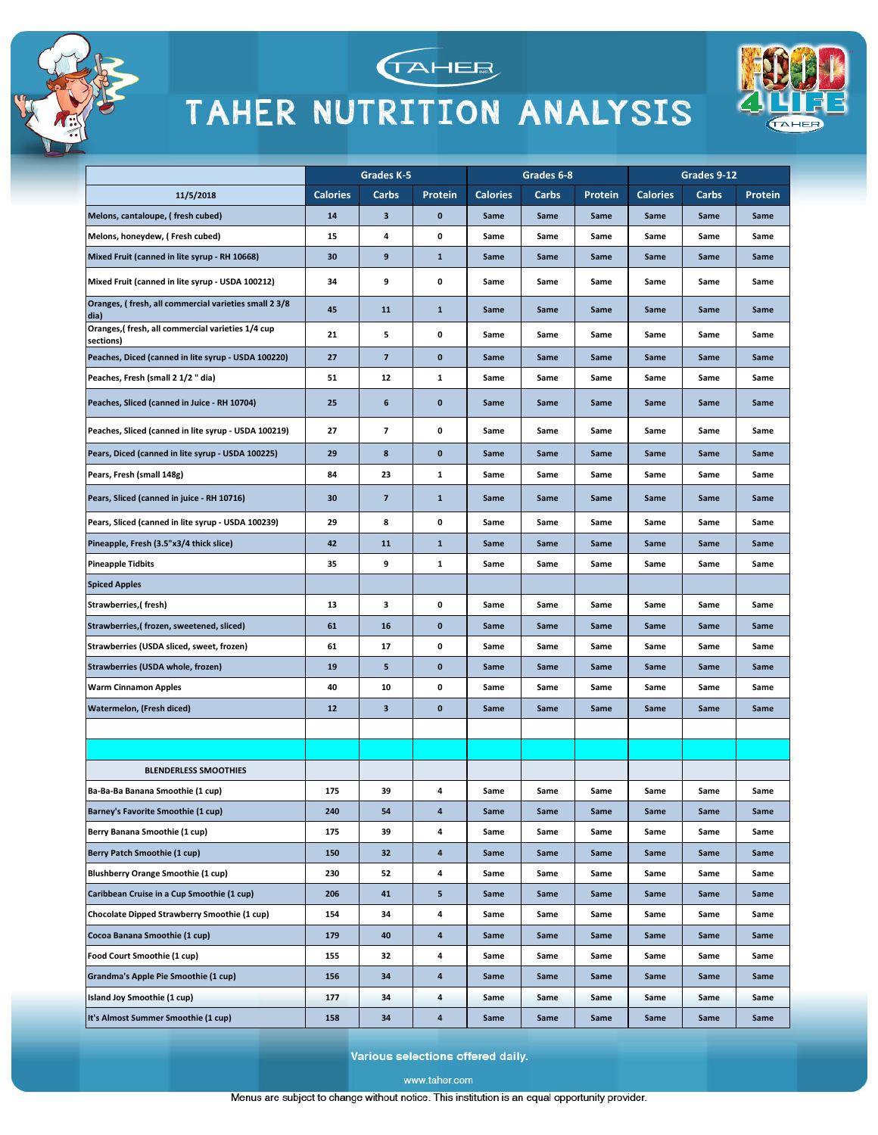



TAHEE



Various selections offered daily.